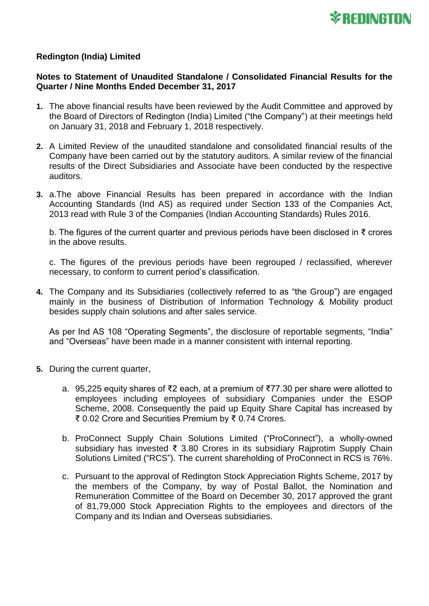

## **Redington (India) Limited**

## **Notes to Statement of Unaudited Standalone / Consolidated Financial Results for the Quarter / Nine Months Ended December 31, 2017**

- **1.** The above financial results have been reviewed by the Audit Committee and approved by the Board of Directors of Redington (India) Limited ("the Company") at their meetings held on January 31, 2018 and February 1, 2018 respectively.
- **2.** A Limited Review of the unaudited standalone and consolidated financial results of the Company have been carried out by the statutory auditors. A similar review of the financial results of the Direct Subsidiaries and Associate have been conducted by the respective auditors.
- **3.** a.The above Financial Results has been prepared in accordance with the Indian Accounting Standards (Ind AS) as required under Section 133 of the Companies Act, 2013 read with Rule 3 of the Companies (Indian Accounting Standards) Rules 2016.

b. The figures of the current quarter and previous periods have been disclosed in ₹ crores in the above results.

c. The figures of the previous periods have been regrouped / reclassified, wherever necessary, to conform to current period's classification.

**4.** The Company and its Subsidiaries (collectively referred to as "the Group") are engaged mainly in the business of Distribution of Information Technology & Mobility product besides supply chain solutions and after sales service.

As per Ind AS 108 "Operating Segments", the disclosure of reportable segments, "India" and "Overseas" have been made in a manner consistent with internal reporting.

- **5.** During the current quarter,
	- a. 95,225 equity shares of ₹2 each, at a premium of ₹77.30 per share were allotted to employees including employees of subsidiary Companies under the ESOP Scheme, 2008. Consequently the paid up Equity Share Capital has increased by ₹ 0.02 Crore and Securities Premium by ₹ 0.74 Crores.
	- b. ProConnect Supply Chain Solutions Limited ("ProConnect"), a wholly-owned subsidiary has invested ₹ 3.80 Crores in its subsidiary Rajprotim Supply Chain Solutions Limited ("RCS"). The current shareholding of ProConnect in RCS is 76%.
	- c. Pursuant to the approval of Redington Stock Appreciation Rights Scheme, 2017 by the members of the Company, by way of Postal Ballot, the Nomination and Remuneration Committee of the Board on December 30, 2017 approved the grant of 81,79,000 Stock Appreciation Rights to the employees and directors of the Company and its Indian and Overseas subsidiaries.